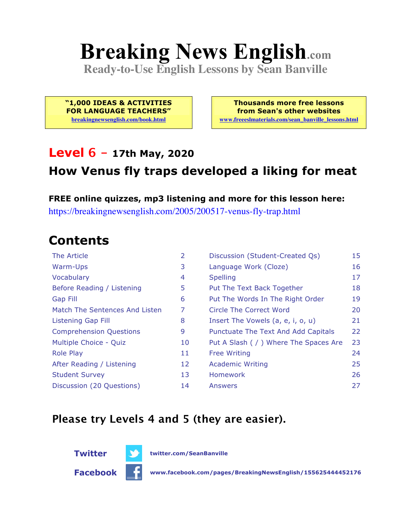# **Breaking News English.com**

**Ready-to-Use English Lessons by Sean Banville**

**"1,000 IDEAS & ACTIVITIES FOR LANGUAGE TEACHERS" breakingnewsenglish.com/book.html**

**Thousands more free lessons from Sean's other websites www.freeeslmaterials.com/sean\_banville\_lessons.html**

#### **Level 6 - 17th May, 2020**

#### **How Venus fly traps developed a liking for meat**

**FREE online quizzes, mp3 listening and more for this lesson here:** https://breakingnewsenglish.com/2005/200517-venus-fly-trap.html

### **Contents**

| The Article                    | 2  | Discussion (Student-Created Qs)        | 15 |
|--------------------------------|----|----------------------------------------|----|
| Warm-Ups                       | 3  | Language Work (Cloze)                  | 16 |
| Vocabulary                     | 4  | <b>Spelling</b>                        | 17 |
| Before Reading / Listening     | 5  | Put The Text Back Together             | 18 |
| <b>Gap Fill</b>                | 6  | Put The Words In The Right Order       | 19 |
| Match The Sentences And Listen | 7  | <b>Circle The Correct Word</b>         | 20 |
| Listening Gap Fill             | 8  | Insert The Vowels (a, e, i, o, u)      | 21 |
| <b>Comprehension Questions</b> | 9  | Punctuate The Text And Add Capitals    | 22 |
| Multiple Choice - Quiz         | 10 | Put A Slash ( / ) Where The Spaces Are | 23 |
| <b>Role Play</b>               | 11 | <b>Free Writing</b>                    | 24 |
| After Reading / Listening      | 12 | <b>Academic Writing</b>                | 25 |
| <b>Student Survey</b>          | 13 | Homework                               | 26 |
| Discussion (20 Questions)      | 14 | Answers                                | 27 |

#### **Please try Levels 4 and 5 (they are easier).**



**Facebook www.facebook.com/pages/BreakingNewsEnglish/155625444452176**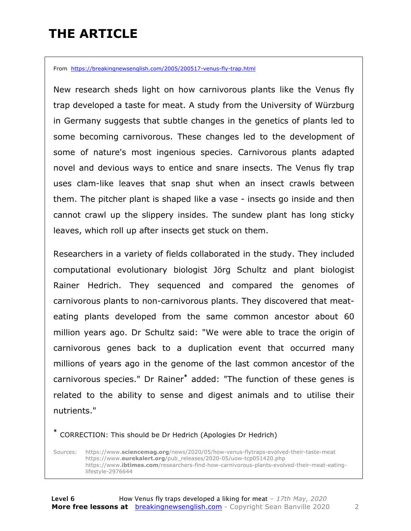### **THE ARTICLE**

From https://breakingnewsenglish.com/2005/200517-venus-fly-trap.html

New research sheds light on how carnivorous plants like the Venus fly trap developed a taste for meat. A study from the University of Würzburg in Germany suggests that subtle changes in the genetics of plants led to some becoming carnivorous. These changes led to the development of some of nature's most ingenious species. Carnivorous plants adapted novel and devious ways to entice and snare insects. The Venus fly trap uses clam-like leaves that snap shut when an insect crawls between them. The pitcher plant is shaped like a vase - insects go inside and then cannot crawl up the slippery insides. The sundew plant has long sticky leaves, which roll up after insects get stuck on them.

Researchers in a variety of fields collaborated in the study. They included computational evolutionary biologist Jörg Schultz and plant biologist Rainer Hedrich. They sequenced and compared the genomes of carnivorous plants to non-carnivorous plants. They discovered that meateating plants developed from the same common ancestor about 60 million years ago. Dr Schultz said: "We were able to trace the origin of carnivorous genes back to a duplication event that occurred many millions of years ago in the genome of the last common ancestor of the carnivorous species." Dr Rainer**\*** added: "The function of these genes is related to the ability to sense and digest animals and to utilise their nutrients."

**\*** CORRECTION: This should be Dr Hedrich (Apologies Dr Hedrich)

Sources: https://www.**sciencemag.org**/news/2020/05/how-venus-flytraps-evolved-their-taste-meat https://www.**eurekalert.org**/pub\_releases/2020-05/uow-tcp051420.php https://www.**ibtimes.com**/researchers-find-how-carnivorous-plants-evolved-their-meat-eatinglifestyle-2976644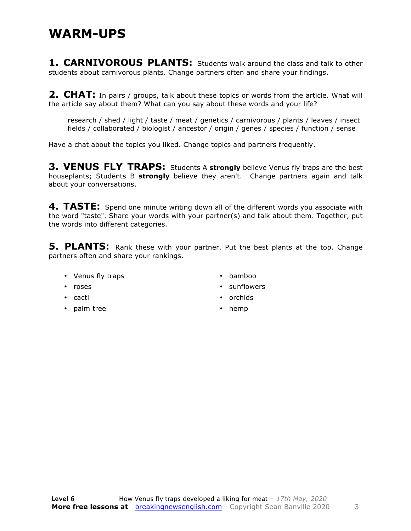#### **WARM-UPS**

**1. CARNIVOROUS PLANTS:** Students walk around the class and talk to other students about carnivorous plants. Change partners often and share your findings.

2. CHAT: In pairs / groups, talk about these topics or words from the article. What will the article say about them? What can you say about these words and your life?

research / shed / light / taste / meat / genetics / carnivorous / plants / leaves / insect fields / collaborated / biologist / ancestor / origin / genes / species / function / sense

Have a chat about the topics you liked. Change topics and partners frequently.

**3. VENUS FLY TRAPS:** Students A strongly believe Venus fly traps are the best houseplants; Students B **strongly** believe they aren't. Change partners again and talk about your conversations.

**4. TASTE:** Spend one minute writing down all of the different words you associate with the word "taste". Share your words with your partner(s) and talk about them. Together, put the words into different categories.

**5. PLANTS:** Rank these with your partner. Put the best plants at the top. Change partners often and share your rankings.

- Venus fly traps
- roses
- bamboo
- sunflowers
- orchids
- hemp

• palm tree

• cacti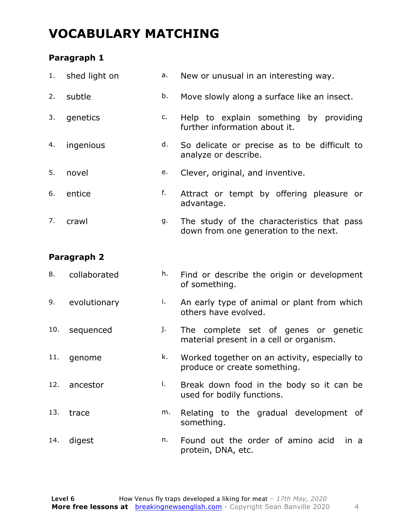### **VOCABULARY MATCHING**

#### **Paragraph 1**

|    | 1. shed light on | а. | New or unusual in an interesting way.                                               |  |  |  |  |
|----|------------------|----|-------------------------------------------------------------------------------------|--|--|--|--|
| 2. | subtle           | b. | Move slowly along a surface like an insect.                                         |  |  |  |  |
| 3. | genetics         | c. | Help to explain something by providing<br>further information about it.             |  |  |  |  |
| 4. | ingenious        | d. | So delicate or precise as to be difficult to<br>analyze or describe.                |  |  |  |  |
| 5. | novel            | e. | Clever, original, and inventive.                                                    |  |  |  |  |
| 6. | entice           | f. | Attract or tempt by offering pleasure or<br>advantage.                              |  |  |  |  |
| 7. | crawl            | g. | The study of the characteristics that pass<br>down from one generation to the next. |  |  |  |  |
|    |                  |    |                                                                                     |  |  |  |  |

#### **Paragraph 2**

| 8. | collaborated |               |  |  | Find or describe the origin or development |
|----|--------------|---------------|--|--|--------------------------------------------|
|    |              | of something. |  |  |                                            |

- 9. evolutionary i. An early type of animal or plant from which others have evolved.
- 10. sequenced j. The complete set of genes or genetic material present in a cell or organism.
- 11. genome **k.** Worked together on an activity, especially to produce or create something.
- 12. ancestor and the Break down food in the body so it can be used for bodily functions.
- 13. trace m. Relating to the gradual development of something.
- 14. digest n. Found out the order of amino acid in a protein, DNA, etc.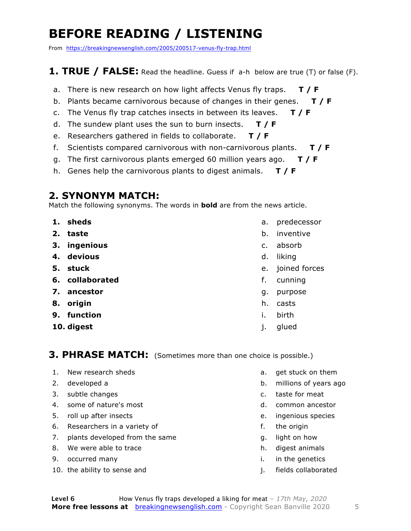### **BEFORE READING / LISTENING**

From https://breakingnewsenglish.com/2005/200517-venus-fly-trap.html

#### **1. TRUE / FALSE:** Read the headline. Guess if a-h below are true (T) or false (F).

- a. There is new research on how light affects Venus fly traps. **T / F**
- b. Plants became carnivorous because of changes in their genes. **T / F**
- c. The Venus fly trap catches insects in between its leaves. **T / F**
- d. The sundew plant uses the sun to burn insects. **T / F**
- e. Researchers gathered in fields to collaborate. **T / F**
- f. Scientists compared carnivorous with non-carnivorous plants. **T / F**
- g. The first carnivorous plants emerged 60 million years ago. **T / F**
- h. Genes help the carnivorous plants to digest animals. **T / F**

#### **2. SYNONYM MATCH:**

Match the following synonyms. The words in **bold** are from the news article.

- **1. sheds**
- **2. taste**
- **3. ingenious**
- **4. devious**
- **5. stuck**
- **6. collaborated**
- **7. ancestor**
- **8. origin**
- **9. function**
- **10. digest**
- a. predecessor
- b. inventive
- c. absorb
- d. liking
- e. joined forces
- f. cunning
- g. purpose
- h. casts
- i. birth
- j. glued

#### **3. PHRASE MATCH:** (Sometimes more than one choice is possible.)

- 1. New research sheds
- 2. developed a
- 3. subtle changes
- 4. some of nature's most
- 5. roll up after insects
- 6. Researchers in a variety of
- 7. plants developed from the same
- 8. We were able to trace
- 9. occurred many
- 10. the ability to sense and
- a. get stuck on them
- b. millions of years ago
- c. taste for meat
- d. common ancestor
- e. ingenious species
- f. the origin
- g. light on how
- h. digest animals
- i. in the genetics
- j. fields collaborated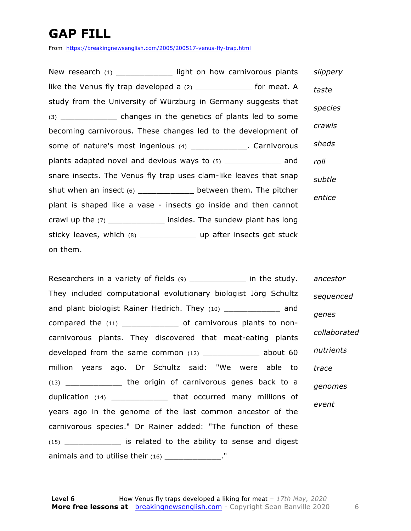### **GAP FILL**

From https://breakingnewsenglish.com/2005/200517-venus-fly-trap.html

New research (1) \_\_\_\_\_\_\_\_\_\_\_\_\_\_ light on how carnivorous plants like the Venus fly trap developed a (2) \_\_\_\_\_\_\_\_\_\_\_\_\_\_ for meat. A study from the University of Würzburg in Germany suggests that (3) changes in the genetics of plants led to some becoming carnivorous. These changes led to the development of some of nature's most ingenious (4) \_\_\_\_\_\_\_\_\_\_\_\_\_. Carnivorous plants adapted novel and devious ways to (5) \_\_\_\_\_\_\_\_\_\_\_\_ and snare insects. The Venus fly trap uses clam-like leaves that snap shut when an insect (6) \_\_\_\_\_\_\_\_\_\_\_\_\_ between them. The pitcher plant is shaped like a vase - insects go inside and then cannot crawl up the (7) \_\_\_\_\_\_\_\_\_\_\_\_\_\_ insides. The sundew plant has long sticky leaves, which (8) \_\_\_\_\_\_\_\_\_\_\_\_\_\_\_\_ up after insects get stuck on them. *slippery taste species crawls sheds roll subtle entice*

Researchers in a variety of fields (9) \_\_\_\_\_\_\_\_\_\_\_\_\_\_\_\_ in the study. They included computational evolutionary biologist Jörg Schultz and plant biologist Rainer Hedrich. They (10) \_\_\_\_\_\_\_\_\_\_\_\_\_\_ and compared the (11) \_\_\_\_\_\_\_\_\_\_\_\_ of carnivorous plants to noncarnivorous plants. They discovered that meat-eating plants developed from the same common (12) \_\_\_\_\_\_\_\_\_\_\_\_ about 60 million years ago. Dr Schultz said: "We were able to (13) \_\_\_\_\_\_\_\_\_\_\_\_ the origin of carnivorous genes back to a duplication (14) \_\_\_\_\_\_\_\_\_\_\_\_ that occurred many millions of years ago in the genome of the last common ancestor of the carnivorous species." Dr Rainer added: "The function of these (15) \_\_\_\_\_\_\_\_\_\_\_\_ is related to the ability to sense and digest animals and to utilise their (16) \_\_\_\_\_\_\_\_\_\_\_\_\_\_." *ancestor sequenced genes collaborated nutrients trace genomes event*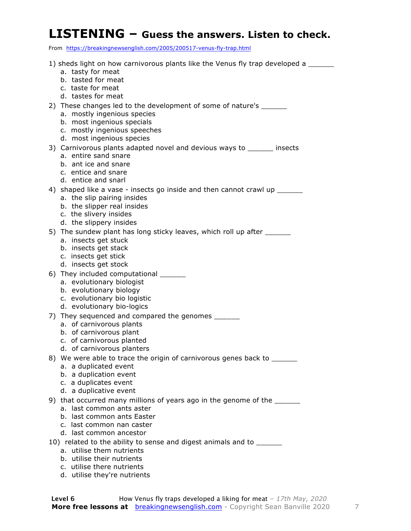#### **LISTENING – Guess the answers. Listen to check.**

From https://breakingnewsenglish.com/2005/200517-venus-fly-trap.html

1) sheds light on how carnivorous plants like the Venus fly trap developed a a. tasty for meat b. tasted for meat c. taste for meat d. tastes for meat 2) These changes led to the development of some of nature's a. mostly ingenious species b. most ingenious specials c. mostly ingenious speeches d. most ingenious species 3) Carnivorous plants adapted novel and devious ways to \_\_\_\_\_\_ insects a. entire sand snare b. ant ice and snare c. entice and snare d. entice and snarl 4) shaped like a vase - insects go inside and then cannot crawl up \_\_\_\_\_\_ a. the slip pairing insides b. the slipper real insides c. the slivery insides d. the slippery insides 5) The sundew plant has long sticky leaves, which roll up after \_\_\_\_\_\_\_ a. insects get stuck b. insects get stack c. insects get stick d. insects get stock 6) They included computational a. evolutionary biologist b. evolutionary biology c. evolutionary bio logistic d. evolutionary bio-logics 7) They sequenced and compared the genomes a. of carnivorous plants b. of carnivorous plant c. of carnivorous planted d. of carnivorous planters 8) We were able to trace the origin of carnivorous genes back to a. a duplicated event b. a duplication event c. a duplicates event d. a duplicative event 9) that occurred many millions of years ago in the genome of the \_\_\_\_\_\_ a. last common ants aster b. last common ants Easter c. last common nan caster d. last common ancestor 10) related to the ability to sense and digest animals and to \_\_\_\_\_\_ a. utilise them nutrients b. utilise their nutrients c. utilise there nutrients d. utilise they're nutrients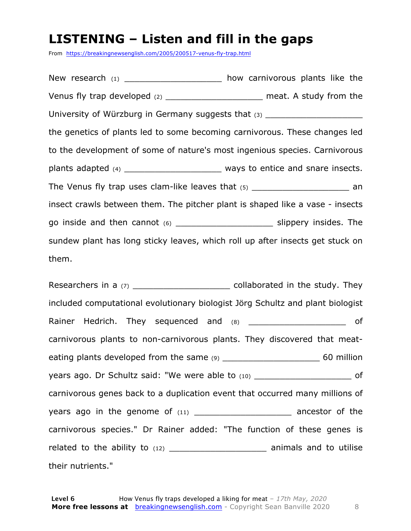### **LISTENING – Listen and fill in the gaps**

From https://breakingnewsenglish.com/2005/200517-venus-fly-trap.html

New research (1) \_\_\_\_\_\_\_\_\_\_\_\_\_\_\_\_\_\_\_\_\_ how carnivorous plants like the Venus fly trap developed (2) example 1 and the meat. A study from the University of Würzburg in Germany suggests that  $(3)$ the genetics of plants led to some becoming carnivorous. These changes led to the development of some of nature's most ingenious species. Carnivorous plants adapted (4) **Exercise 20** and snare insects. The Venus fly trap uses clam-like leaves that  $(5)$  an insect crawls between them. The pitcher plant is shaped like a vase - insects go inside and then cannot (6) \_\_\_\_\_\_\_\_\_\_\_\_\_\_\_\_\_\_\_ slippery insides. The sundew plant has long sticky leaves, which roll up after insects get stuck on them.

Researchers in a  $(7)$  and  $(7)$  collaborated in the study. They included computational evolutionary biologist Jörg Schultz and plant biologist Rainer Hedrich. They sequenced and  $(8)$  and  $(9)$  and  $(10)$  support of carnivorous plants to non-carnivorous plants. They discovered that meateating plants developed from the same (9) \_\_\_\_\_\_\_\_\_\_\_\_\_\_\_\_\_\_\_ 60 million years ago. Dr Schultz said: "We were able to (10) contains the same of carnivorous genes back to a duplication event that occurred many millions of years ago in the genome of  $(11)$  ancestor of the carnivorous species." Dr Rainer added: "The function of these genes is related to the ability to (12) \_\_\_\_\_\_\_\_\_\_\_\_\_\_\_\_\_\_\_ animals and to utilise their nutrients."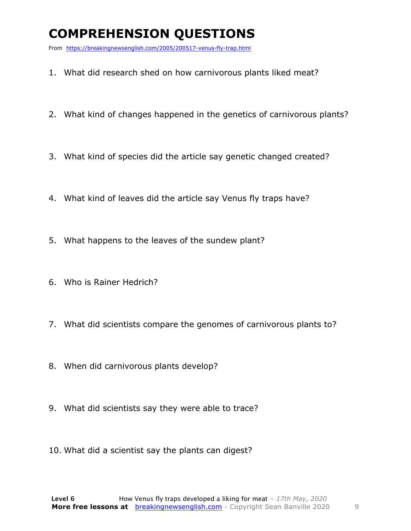### **COMPREHENSION QUESTIONS**

From https://breakingnewsenglish.com/2005/200517-venus-fly-trap.html

- 1. What did research shed on how carnivorous plants liked meat?
- 2. What kind of changes happened in the genetics of carnivorous plants?
- 3. What kind of species did the article say genetic changed created?
- 4. What kind of leaves did the article say Venus fly traps have?
- 5. What happens to the leaves of the sundew plant?
- 6. Who is Rainer Hedrich?
- 7. What did scientists compare the genomes of carnivorous plants to?
- 8. When did carnivorous plants develop?
- 9. What did scientists say they were able to trace?
- 10. What did a scientist say the plants can digest?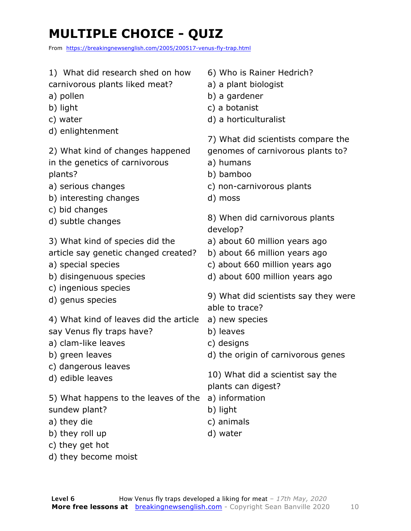### **MULTIPLE CHOICE - QUIZ**

From https://breakingnewsenglish.com/2005/200517-venus-fly-trap.html

| 1) What did research shed on how |
|----------------------------------|
| carnivorous plants liked meat?   |

- a) pollen
- b) light
- c) water
- d) enlightenment

2) What kind of changes happened

- in the genetics of carnivorous plants?
- a) serious changes
- b) interesting changes
- c) bid changes
- d) subtle changes
- 3) What kind of species did the
- article say genetic changed created?
- a) special species
- b) disingenuous species
- c) ingenious species
- d) genus species

4) What kind of leaves did the article

- say Venus fly traps have?
- a) clam-like leaves
- b) green leaves
- c) dangerous leaves
- d) edible leaves

5) What happens to the leaves of the a) information sundew plant?

- a) they die
- b) they roll up
- c) they get hot
- d) they become moist
- 6) Who is Rainer Hedrich?
- a) a plant biologist
- b) a gardener
- c) a botanist
- d) a horticulturalist

7) What did scientists compare the genomes of carnivorous plants to?

- a) humans
- b) bamboo
- c) non-carnivorous plants
- d) moss
- 8) When did carnivorous plants develop?
- a) about 60 million years ago
- b) about 66 million years ago
- c) about 660 million years ago
- d) about 600 million years ago

9) What did scientists say they were able to trace?

- a) new species
- b) leaves
- c) designs
- d) the origin of carnivorous genes

10) What did a scientist say the plants can digest?

- 
- b) light
- c) animals
- d) water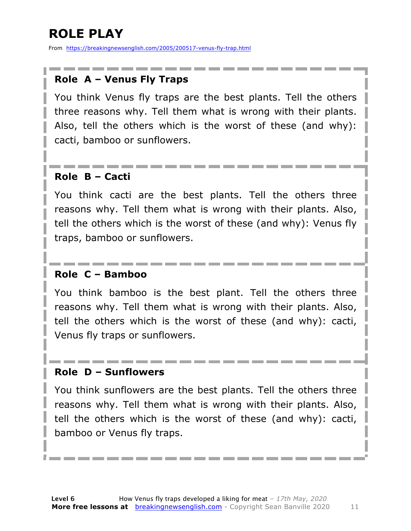### **ROLE PLAY**

From https://breakingnewsenglish.com/2005/200517-venus-fly-trap.html

#### **Role A – Venus Fly Traps**

You think Venus fly traps are the best plants. Tell the others three reasons why. Tell them what is wrong with their plants. Also, tell the others which is the worst of these (and why): cacti, bamboo or sunflowers.

#### **Role B – Cacti**

You think cacti are the best plants. Tell the others three reasons why. Tell them what is wrong with their plants. Also, tell the others which is the worst of these (and why): Venus fly traps, bamboo or sunflowers.

#### **Role C – Bamboo**

You think bamboo is the best plant. Tell the others three reasons why. Tell them what is wrong with their plants. Also, tell the others which is the worst of these (and why): cacti, Venus fly traps or sunflowers.

#### **Role D – Sunflowers**

You think sunflowers are the best plants. Tell the others three reasons why. Tell them what is wrong with their plants. Also, tell the others which is the worst of these (and why): cacti, bamboo or Venus fly traps.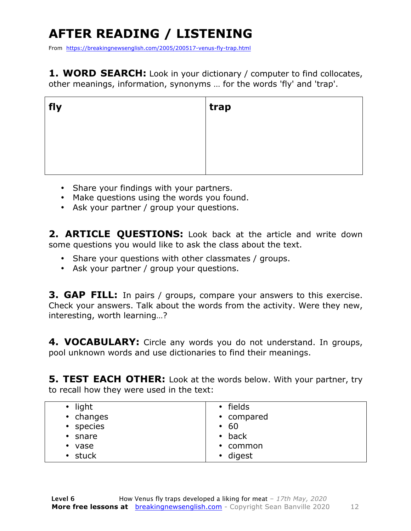### **AFTER READING / LISTENING**

From https://breakingnewsenglish.com/2005/200517-venus-fly-trap.html

**1. WORD SEARCH:** Look in your dictionary / computer to find collocates, other meanings, information, synonyms … for the words 'fly' and 'trap'.

| fly | trap |
|-----|------|
|     |      |
|     |      |
|     |      |

- Share your findings with your partners.
- Make questions using the words you found.
- Ask your partner / group your questions.

2. **ARTICLE OUESTIONS:** Look back at the article and write down some questions you would like to ask the class about the text.

- Share your questions with other classmates / groups.
- Ask your partner / group your questions.

**3. GAP FILL:** In pairs / groups, compare your answers to this exercise. Check your answers. Talk about the words from the activity. Were they new, interesting, worth learning…?

**4. VOCABULARY:** Circle any words you do not understand. In groups, pool unknown words and use dictionaries to find their meanings.

**5. TEST EACH OTHER:** Look at the words below. With your partner, try to recall how they were used in the text:

| light<br>$\bullet$<br>• changes | • fields<br>• compared |
|---------------------------------|------------------------|
| • species                       | - 60<br>$\bullet$      |
| $\cdot$ snare                   | $\bullet$ back         |
| vase<br>$\bullet$               | $\cdot$ common         |
| • stuck                         | • digest               |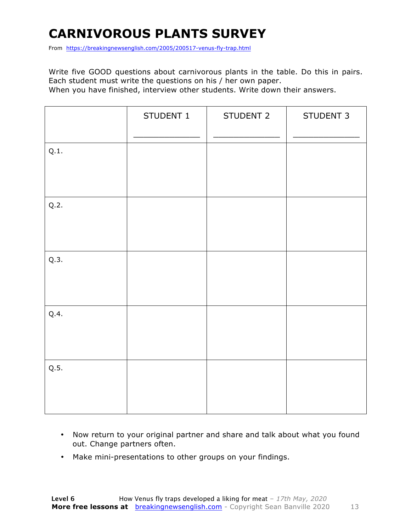### **CARNIVOROUS PLANTS SURVEY**

From https://breakingnewsenglish.com/2005/200517-venus-fly-trap.html

Write five GOOD questions about carnivorous plants in the table. Do this in pairs. Each student must write the questions on his / her own paper.

When you have finished, interview other students. Write down their answers.

|      | STUDENT 1 | STUDENT 2 | STUDENT 3 |
|------|-----------|-----------|-----------|
| Q.1. |           |           |           |
| Q.2. |           |           |           |
| Q.3. |           |           |           |
| Q.4. |           |           |           |
| Q.5. |           |           |           |

- Now return to your original partner and share and talk about what you found out. Change partners often.
- Make mini-presentations to other groups on your findings.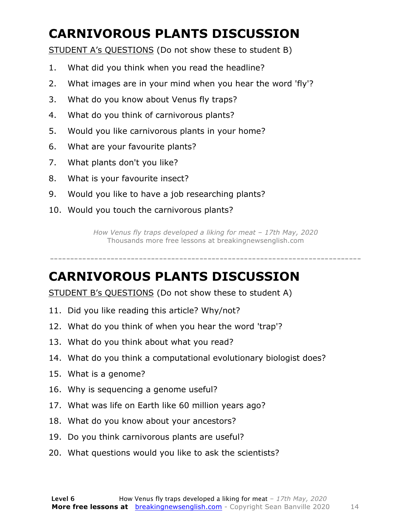### **CARNIVOROUS PLANTS DISCUSSION**

STUDENT A's QUESTIONS (Do not show these to student B)

- 1. What did you think when you read the headline?
- 2. What images are in your mind when you hear the word 'fly'?
- 3. What do you know about Venus fly traps?
- 4. What do you think of carnivorous plants?
- 5. Would you like carnivorous plants in your home?
- 6. What are your favourite plants?
- 7. What plants don't you like?
- 8. What is your favourite insect?
- 9. Would you like to have a job researching plants?
- 10. Would you touch the carnivorous plants?

*How Venus fly traps developed a liking for meat – 17th May, 2020* Thousands more free lessons at breakingnewsenglish.com

## -----------------------------------------------------------------------------

#### **CARNIVOROUS PLANTS DISCUSSION**

STUDENT B's QUESTIONS (Do not show these to student A)

- 11. Did you like reading this article? Why/not?
- 12. What do you think of when you hear the word 'trap'?
- 13. What do you think about what you read?
- 14. What do you think a computational evolutionary biologist does?
- 15. What is a genome?
- 16. Why is sequencing a genome useful?
- 17. What was life on Earth like 60 million years ago?
- 18. What do you know about your ancestors?
- 19. Do you think carnivorous plants are useful?
- 20. What questions would you like to ask the scientists?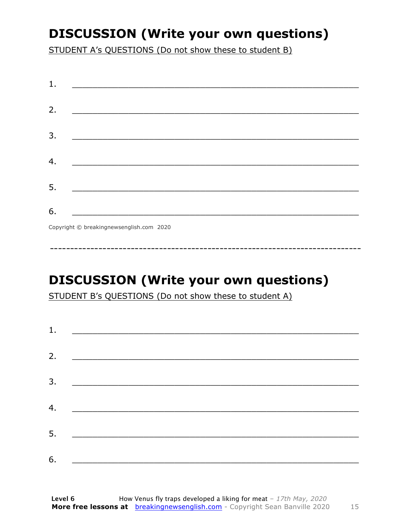### **DISCUSSION (Write your own questions)**

STUDENT A's QUESTIONS (Do not show these to student B)

| 1. |                                                                                                                          |
|----|--------------------------------------------------------------------------------------------------------------------------|
| 2. |                                                                                                                          |
|    | <u> 1989 - Johann John Stone, mars et al. (b. 1989)</u>                                                                  |
| 3. | <u> 1980 - Johann John Stone, mensk politik (d. 1980)</u>                                                                |
|    |                                                                                                                          |
| 4. |                                                                                                                          |
| 5. | <u> 1980 - Johann John Stone, markin fan it fjort fan it fjort fan it fjort fan it fjort fan it fjort fan it fjort f</u> |
|    |                                                                                                                          |
| 6. | <u> 1989 - Johann Barbara, martxa alemani</u> ar arte                                                                    |
|    | $Convriath \odot hraskinanawsanalich com 2020$                                                                           |

Copyright © breakingnewsenglish.com 2020

### **DISCUSSION (Write your own questions)**

STUDENT B's QUESTIONS (Do not show these to student A)

| 1. |                                                                                                                         |  |  |
|----|-------------------------------------------------------------------------------------------------------------------------|--|--|
|    |                                                                                                                         |  |  |
| 2. | <u> 1980 - Andrea Stationer, fransk politiker (d. 1980)</u>                                                             |  |  |
| 3. |                                                                                                                         |  |  |
|    |                                                                                                                         |  |  |
| 4. | <u> 1980 - Jan Samuel Barbara, margaret eta idazlea (h. 1980).</u>                                                      |  |  |
| 5. | <u> 1986 - Johann Stoff, deutscher Stoffen und der Stoffen und der Stoffen und der Stoffen und der Stoffen und der </u> |  |  |
|    |                                                                                                                         |  |  |
| 6. | <u> 1989 - Johann John Stone, market fan it ferskearre fan it ferskearre fan it ferskearre fan it ferskearre fan i</u>  |  |  |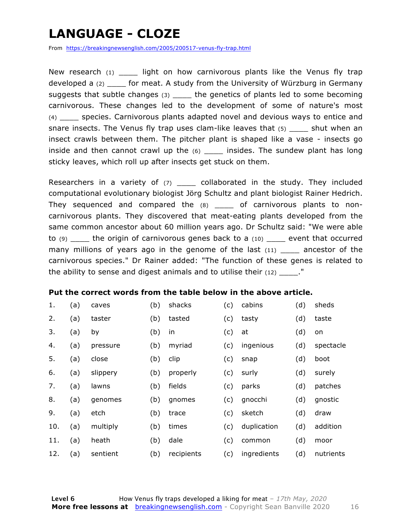### **LANGUAGE - CLOZE**

From https://breakingnewsenglish.com/2005/200517-venus-fly-trap.html

New research  $(1)$  light on how carnivorous plants like the Venus fly trap developed a (2) \_\_\_\_ for meat. A study from the University of Würzburg in Germany suggests that subtle changes (3) \_\_\_\_\_ the genetics of plants led to some becoming carnivorous. These changes led to the development of some of nature's most (4) \_\_\_\_ species. Carnivorous plants adapted novel and devious ways to entice and snare insects. The Venus fly trap uses clam-like leaves that (5) shut when an insect crawls between them. The pitcher plant is shaped like a vase - insects go inside and then cannot crawl up the (6) \_\_\_\_ insides. The sundew plant has long sticky leaves, which roll up after insects get stuck on them.

Researchers in a variety of (7) \_\_\_\_\_ collaborated in the study. They included computational evolutionary biologist Jörg Schultz and plant biologist Rainer Hedrich. They sequenced and compared the  $(8)$  \_\_\_\_ of carnivorous plants to noncarnivorous plants. They discovered that meat-eating plants developed from the same common ancestor about 60 million years ago. Dr Schultz said: "We were able to (9) \_\_\_\_ the origin of carnivorous genes back to a (10) \_\_\_\_ event that occurred many millions of years ago in the genome of the last  $(11)$  ancestor of the carnivorous species." Dr Rainer added: "The function of these genes is related to the ability to sense and digest animals and to utilise their  $(12)$  ."

#### **Put the correct words from the table below in the above article.**

| 1.  | (a) | caves    | (b) | shacks     | (c) | cabins      | (d) | sheds     |
|-----|-----|----------|-----|------------|-----|-------------|-----|-----------|
| 2.  | (a) | taster   | (b) | tasted     | (c) | tasty       | (d) | taste     |
| 3.  | (a) | by       | (b) | in         | (c) | at          | (d) | on        |
| 4.  | (a) | pressure | (b) | myriad     | (c) | ingenious   | (d) | spectacle |
| 5.  | (a) | close    | (b) | clip       | (c) | snap        | (d) | boot      |
| 6.  | (a) | slippery | (b) | properly   | (c) | surly       | (d) | surely    |
| 7.  | (a) | lawns    | (b) | fields     | (c) | parks       | (d) | patches   |
| 8.  | (a) | genomes  | (b) | gnomes     | (c) | gnocchi     | (d) | gnostic   |
| 9.  | (a) | etch     | (b) | trace      | (c) | sketch      | (d) | draw      |
| 10. | (a) | multiply | (b) | times      | (c) | duplication | (d) | addition  |
| 11. | (a) | heath    | (b) | dale       | (c) | common      | (d) | moor      |
| 12. | (a) | sentient | (b) | recipients | (c) | ingredients | (d) | nutrients |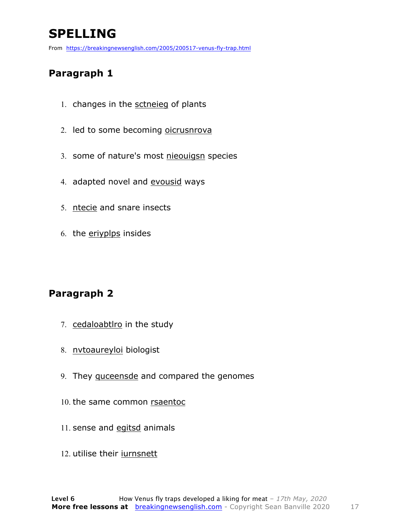### **SPELLING**

From https://breakingnewsenglish.com/2005/200517-venus-fly-trap.html

#### **Paragraph 1**

- 1. changes in the sctneieg of plants
- 2. led to some becoming oicrusnrova
- 3. some of nature's most nieouigsn species
- 4. adapted novel and evousid ways
- 5. ntecie and snare insects
- 6. the eriyplps insides

#### **Paragraph 2**

- 7. cedaloabtlro in the study
- 8. nvtoaureyloi biologist
- 9. They quceensde and compared the genomes
- 10. the same common rsaentoc
- 11. sense and egitsd animals
- 12. utilise their iurnsnett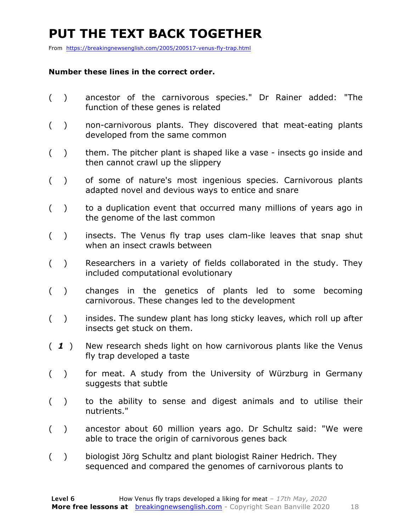### **PUT THE TEXT BACK TOGETHER**

From https://breakingnewsenglish.com/2005/200517-venus-fly-trap.html

#### **Number these lines in the correct order.**

- ( ) ancestor of the carnivorous species." Dr Rainer added: "The function of these genes is related
- ( ) non-carnivorous plants. They discovered that meat-eating plants developed from the same common
- () them. The pitcher plant is shaped like a vase insects go inside and then cannot crawl up the slippery
- ( ) of some of nature's most ingenious species. Carnivorous plants adapted novel and devious ways to entice and snare
- ( ) to a duplication event that occurred many millions of years ago in the genome of the last common
- ( ) insects. The Venus fly trap uses clam-like leaves that snap shut when an insect crawls between
- ( ) Researchers in a variety of fields collaborated in the study. They included computational evolutionary
- ( ) changes in the genetics of plants led to some becoming carnivorous. These changes led to the development
- () insides. The sundew plant has long sticky leaves, which roll up after insects get stuck on them.
- ( *1* ) New research sheds light on how carnivorous plants like the Venus fly trap developed a taste
- ( ) for meat. A study from the University of Würzburg in Germany suggests that subtle
- ( ) to the ability to sense and digest animals and to utilise their nutrients."
- ( ) ancestor about 60 million years ago. Dr Schultz said: "We were able to trace the origin of carnivorous genes back
- ( ) biologist Jörg Schultz and plant biologist Rainer Hedrich. They sequenced and compared the genomes of carnivorous plants to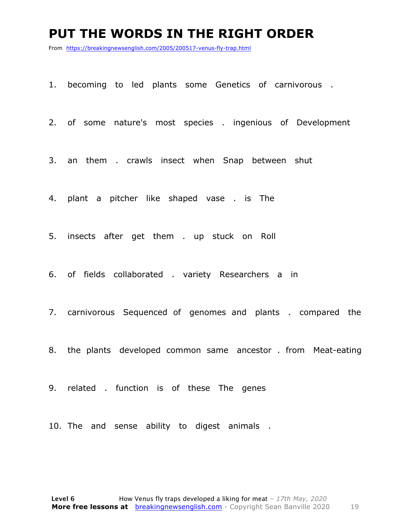#### **PUT THE WORDS IN THE RIGHT ORDER**

From https://breakingnewsenglish.com/2005/200517-venus-fly-trap.html

1. becoming to led plants some Genetics of carnivorous .

2. of some nature's most species . ingenious of Development

3. an them . crawls insect when Snap between shut

4. plant a pitcher like shaped vase . is The

5. insects after get them . up stuck on Roll

6. of fields collaborated . variety Researchers a in

7. carnivorous Sequenced of genomes and plants . compared the

8. the plants developed common same ancestor . from Meat-eating

9. related . function is of these The genes

10. The and sense ability to digest animals .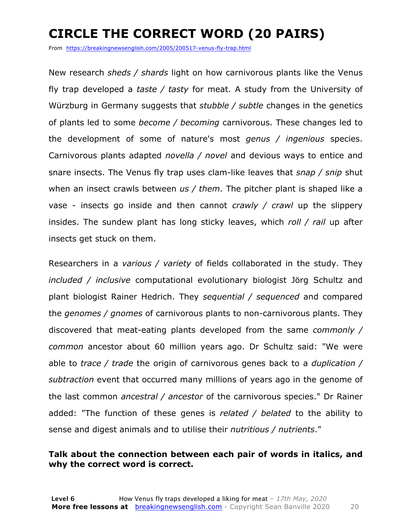### **CIRCLE THE CORRECT WORD (20 PAIRS)**

From https://breakingnewsenglish.com/2005/200517-venus-fly-trap.html

New research *sheds / shards* light on how carnivorous plants like the Venus fly trap developed a *taste / tasty* for meat. A study from the University of Würzburg in Germany suggests that *stubble / subtle* changes in the genetics of plants led to some *become / becoming* carnivorous. These changes led to the development of some of nature's most *genus / ingenious* species. Carnivorous plants adapted *novella / novel* and devious ways to entice and snare insects. The Venus fly trap uses clam-like leaves that *snap / snip* shut when an insect crawls between *us / them*. The pitcher plant is shaped like a vase - insects go inside and then cannot *crawly / crawl* up the slippery insides. The sundew plant has long sticky leaves, which *roll / rail* up after insects get stuck on them.

Researchers in a *various / variety* of fields collaborated in the study. They *included / inclusive* computational evolutionary biologist Jörg Schultz and plant biologist Rainer Hedrich. They *sequential / sequenced* and compared the *genomes / gnomes* of carnivorous plants to non-carnivorous plants. They discovered that meat-eating plants developed from the same *commonly / common* ancestor about 60 million years ago. Dr Schultz said: "We were able to *trace / trade* the origin of carnivorous genes back to a *duplication / subtraction* event that occurred many millions of years ago in the genome of the last common *ancestral / ancestor* of the carnivorous species." Dr Rainer added: "The function of these genes is *related / belated* to the ability to sense and digest animals and to utilise their *nutritious / nutrients*."

#### **Talk about the connection between each pair of words in italics, and why the correct word is correct.**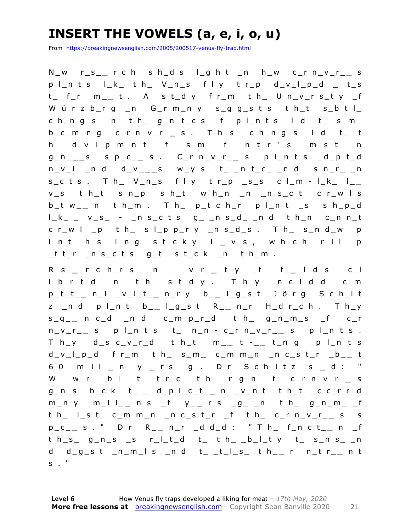### **INSERT THE VOWELS (a, e, i, o, u)**

From https://breakingnewsenglish.com/2005/200517-venus-fly-trap.html

N\_w r\_s\_ **\_** r c h s h\_d s l\_g h t \_n h\_w c\_r n\_v\_r\_ **\_** s  $p \mid n$  t s  $\mid L_{n}$  t h  $\mid$  V\_n\_s f l y t r\_p d\_v\_l\_p\_d \_ t\_s t\_ f\_r m\_ **\_** t . A s t\_d y f r\_m t h\_ U n\_v\_r s\_t y \_f Würzb\_rg \_n G\_rm\_ny s\_gg\_sts th\_t s\_btl\_  $ch_n g_s$   $n$  th  $g_n t_c s$  f plnts  $l_d$  t  $s_m$ b\_c\_m\_n g c\_r n\_v\_r\_ **\_** s . T h\_s\_ c h\_n g\_s l\_d t\_ t  $h_$  d\_v\_l\_p m\_n t \_f s\_m\_ \_f n\_t\_r\_' s m\_s t \_n g\_n\_ **\_ \_** s s p\_c\_ **\_** s . C\_r n\_v\_r\_ **\_** s p l\_n t s \_d \_p t\_d n\_v\_l \_n d d\_v\_ **\_ \_** s w\_y s t\_ \_n t\_c\_ \_n d s n\_r\_ \_n s\_c t s . T h\_ V\_n\_s f l y t r\_p \_s\_s c l\_m - l\_k\_ l\_ **\_**  v\_s t h\_t s n\_p s h\_t w h\_n \_n \_n s\_c t c r\_w l s b\_t w\_ **\_** n t h\_m . T h\_ p\_t c h\_r p l\_n t \_s s h \_p\_d  $l_k = v_s - 1$  nscts  $g_{-1}$ nsd nd then cnnt  $c r_w l_p t h_s s l_p p_r y_n s_d s$ . Th\_s\_n d\_w p l\_n t h\_s l\_n g s t\_c k y l\_ **\_** v\_s , w h\_c h r\_l l \_p \_f t\_r \_n s\_c t s g\_t s t\_c k \_n t h\_m .

R \_ s \_ **\_** r c h\_r s \_n \_ v\_r\_ **\_** t y \_f f\_ **\_** l d s c\_l l\_b\_r\_t\_d \_n t h\_ s t\_d y . T h\_y \_n c l\_d\_d c\_m p\_t\_t\_ **\_** n\_l \_v\_l\_t\_ **\_** n\_r y b\_ **\_** l\_g\_s t J ö r g S c h\_l t z \_n d p l\_n t b\_ **\_** l\_g\_s t R\_ **\_** n\_r H\_d r\_c h . T h\_y s\_q\_ **\_** n c\_d \_ n d c\_m p\_r\_d t h\_ g\_n\_m\_s \_f c\_r n\_v\_r\_ **\_** s p l\_n t s t\_ n\_n - c\_r n\_v\_r\_ **\_** s p l\_n t s . T h\_y d\_s c\_v\_r\_d t h\_t m\_ **\_** t - \_ **\_** t\_n g p l\_n t s d\_v\_l\_p\_d f r\_m t h\_ s\_m\_ c\_m m\_n \_n c\_s t\_r \_b\_ **\_** t 6 0 m\_l l\_ **\_** n y\_ **\_** r s \_ g\_. D r S c h\_l t z s\_ **\_** d : " W\_ w\_r\_ \_b l\_ t\_ t r\_c\_ t h\_ \_r\_g\_n \_f c\_r n\_v\_r\_ **\_** s g\_n\_s b\_c k t\_ \_ d\_p l\_c\_t\_ **\_** n \_v\_n t t h\_t \_c c\_r r\_d m\_n y m\_l l\_ **\_** n s \_f y\_ **\_** r s \_g\_ \_n t h\_ g\_n\_m\_ \_f t h\_ l\_s t c\_m m\_n \_n c\_ s t\_r \_f t h\_ c\_r n\_v\_r\_ **\_** s s p\_c\_ **\_** s . " D r R\_ **\_** n\_r \_d d\_d : " T h\_ f\_n c t\_ **\_** n \_f  $th$ <sub>\_S\_</sub> g\_n\_s \_s r\_l\_t\_d t\_ t h\_ \_b\_l\_t y t\_ s\_n s\_ \_n d d\_g\_s t \_n\_m\_l s \_n d t\_ \_t\_l\_s\_ t h\_ **\_** r n\_t r\_ **\_** n t  $S \cdot$  "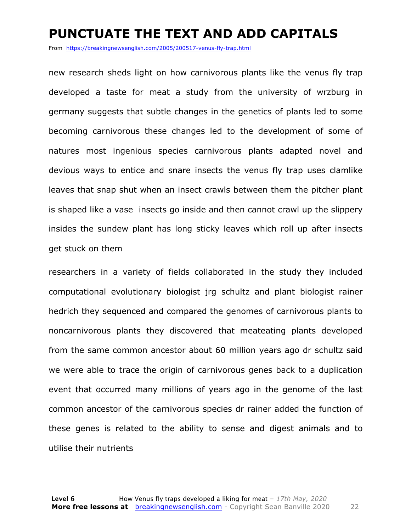#### **PUNCTUATE THE TEXT AND ADD CAPITALS**

From https://breakingnewsenglish.com/2005/200517-venus-fly-trap.html

new research sheds light on how carnivorous plants like the venus fly trap developed a taste for meat a study from the university of wrzburg in germany suggests that subtle changes in the genetics of plants led to some becoming carnivorous these changes led to the development of some of natures most ingenious species carnivorous plants adapted novel and devious ways to entice and snare insects the venus fly trap uses clamlike leaves that snap shut when an insect crawls between them the pitcher plant is shaped like a vase insects go inside and then cannot crawl up the slippery insides the sundew plant has long sticky leaves which roll up after insects get stuck on them

researchers in a variety of fields collaborated in the study they included computational evolutionary biologist jrg schultz and plant biologist rainer hedrich they sequenced and compared the genomes of carnivorous plants to noncarnivorous plants they discovered that meateating plants developed from the same common ancestor about 60 million years ago dr schultz said we were able to trace the origin of carnivorous genes back to a duplication event that occurred many millions of years ago in the genome of the last common ancestor of the carnivorous species dr rainer added the function of these genes is related to the ability to sense and digest animals and to utilise their nutrients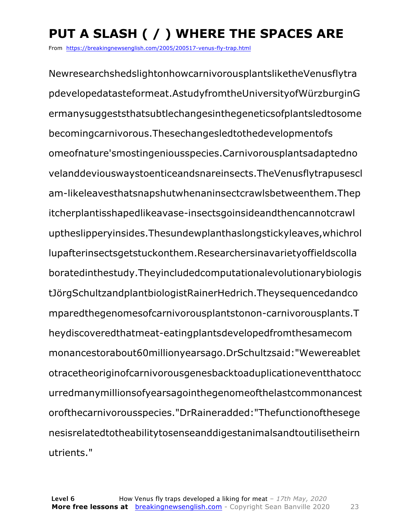### **PUT A SLASH ( / ) WHERE THE SPACES ARE**

From https://breakingnewsenglish.com/2005/200517-venus-fly-trap.html

NewresearchshedslightonhowcarnivorousplantsliketheVenusflytra pdevelopedatasteformeat.AstudyfromtheUniversityofWürzburginG ermanysuggeststhatsubtlechangesinthegeneticsofplantsledtosome becomingcarnivorous.Thesechangesledtothedevelopmentofs omeofnature'smostingeniousspecies.Carnivorousplantsadaptedno velanddeviouswaystoenticeandsnareinsects.TheVenusflytrapusescl am-likeleavesthatsnapshutwhenaninsectcrawlsbetweenthem.Thep itcherplantisshapedlikeavase-insectsgoinsideandthencannotcrawl uptheslipperyinsides.Thesundewplanthaslongstickyleaves,whichrol lupafterinsectsgetstuckonthem.Researchersinavarietyoffieldscolla boratedinthestudy.Theyincludedcomputationalevolutionarybiologis tJörgSchultzandplantbiologistRainerHedrich.Theysequencedandco mparedthegenomesofcarnivorousplantstonon-carnivorousplants.T heydiscoveredthatmeat-eatingplantsdevelopedfromthesamecom monancestorabout60millionyearsago.DrSchultzsaid:"Wewereablet otracetheoriginofcarnivorousgenesbacktoaduplicationeventthatocc urredmanymillionsofyearsagointhegenomeofthelastcommonancest orofthecarnivorousspecies."DrRaineradded:"Thefunctionofthesege nesisrelatedtotheabilitytosenseanddigestanimalsandtoutilisetheirn utrients."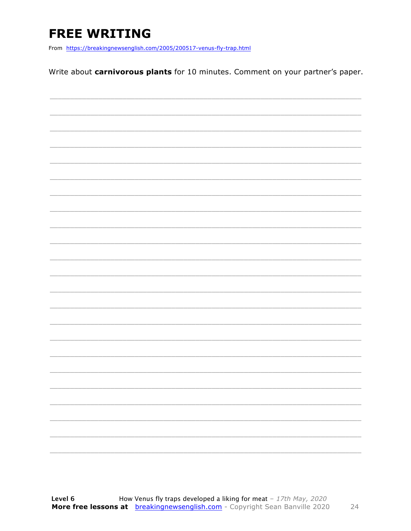### **FREE WRITING**

From https://breakingnewsenglish.com/2005/200517-venus-fly-trap.html

Write about carnivorous plants for 10 minutes. Comment on your partner's paper.

|  | ۰ |
|--|---|
|  |   |
|  |   |
|  |   |
|  |   |
|  |   |

24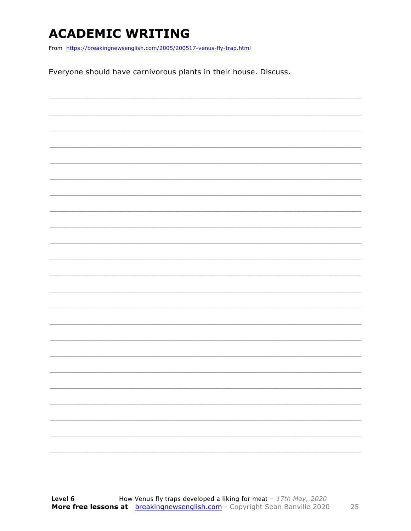### **ACADEMIC WRITING**

From https://breakingnewsenglish.com/2005/200517-venus-fly-trap.html

Everyone should have carnivorous plants in their house. Discuss.

|  |  | ____                     |
|--|--|--------------------------|
|  |  |                          |
|  |  | _____                    |
|  |  | $\overline{\phantom{a}}$ |
|  |  |                          |
|  |  |                          |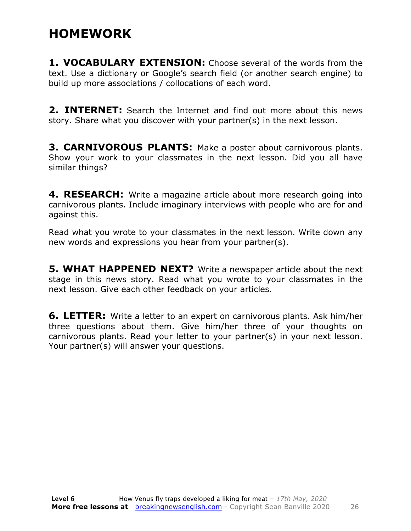### **HOMEWORK**

**1. VOCABULARY EXTENSION:** Choose several of the words from the text. Use a dictionary or Google's search field (or another search engine) to build up more associations / collocations of each word.

**2. INTERNET:** Search the Internet and find out more about this news story. Share what you discover with your partner(s) in the next lesson.

**3. CARNIVOROUS PLANTS:** Make a poster about carnivorous plants. Show your work to your classmates in the next lesson. Did you all have similar things?

**4. RESEARCH:** Write a magazine article about more research going into carnivorous plants. Include imaginary interviews with people who are for and against this.

Read what you wrote to your classmates in the next lesson. Write down any new words and expressions you hear from your partner(s).

**5. WHAT HAPPENED NEXT?** Write a newspaper article about the next stage in this news story. Read what you wrote to your classmates in the next lesson. Give each other feedback on your articles.

**6. LETTER:** Write a letter to an expert on carnivorous plants. Ask him/her three questions about them. Give him/her three of your thoughts on carnivorous plants. Read your letter to your partner(s) in your next lesson. Your partner(s) will answer your questions.